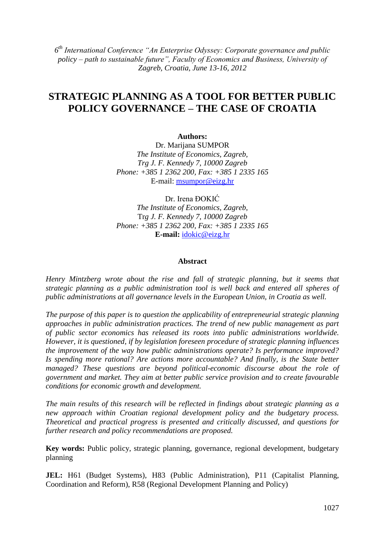*6 th International Conference "An Enterprise Odyssey: Corporate governance and public policy – path to sustainable future", Faculty of Economics and Business, University of Zagreb, Croatia, June 13-16, 2012*

# **STRATEGIC PLANNING AS A TOOL FOR BETTER PUBLIC POLICY GOVERNANCE – THE CASE OF CROATIA**

#### **Authors:**

Dr. Marijana SUMPOR *The Institute of Economics, Zagreb, Trg J. F. Kennedy 7, 10000 Zagreb Phone: +385 1 2362 200, Fax: +385 1 2335 165* E-mail: [msumpor@eizg.hr](mailto:msumpor@eizg.hr) 

Dr. Irena ĐOKIĆ *The Institute of Economics, Zagreb,*  Tr*g J. F. Kennedy 7, 10000 Zagreb Phone: +385 1 2362 200, Fax: +385 1 2335 165* **E-mail:** [idokic@eizg.hr](mailto:idokic@eizg.hr)

#### **Abstract**

*Henry Mintzberg wrote about the rise and fall of strategic planning, but it seems that strategic planning as a public administration tool is well back and entered all spheres of public administrations at all governance levels in the European Union, in Croatia as well.*

*The purpose of this paper is to question the applicability of entrepreneurial strategic planning approaches in public administration practices. The trend of new public management as part of public sector economics has released its roots into public administrations worldwide. However, it is questioned, if by legislation foreseen procedure of strategic planning influences the improvement of the way how public administrations operate? Is performance improved? Is spending more rational? Are actions more accountable? And finally, is the State better*  managed? These questions are beyond political-economic discourse about the role of *government and market. They aim at better public service provision and to create favourable conditions for economic growth and development.* 

*The main results of this research will be reflected in findings about strategic planning as a new approach within Croatian regional development policy and the budgetary process. Theoretical and practical progress is presented and critically discussed, and questions for further research and policy recommendations are proposed.* 

**Key words:** Public policy, strategic planning, governance, regional development, budgetary planning

**JEL:** H61 (Budget Systems), H83 (Public Administration), P11 (Capitalist Planning, Coordination and Reform), R58 (Regional Development Planning and Policy)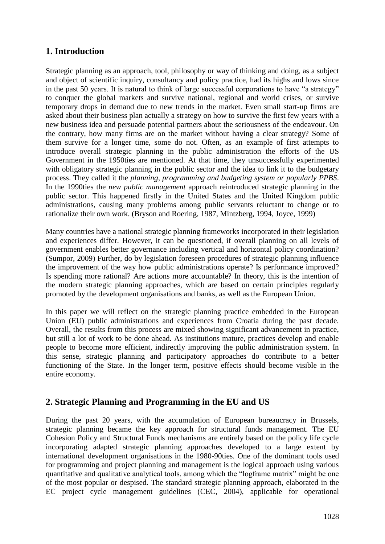## **1. Introduction**

Strategic planning as an approach, tool, philosophy or way of thinking and doing, as a subject and object of scientific inquiry, consultancy and policy practice, had its highs and lows since in the past 50 years. It is natural to think of large successful corporations to have "a strategy" to conquer the global markets and survive national, regional and world crises, or survive temporary drops in demand due to new trends in the market. Even small start-up firms are asked about their business plan actually a strategy on how to survive the first few years with a new business idea and persuade potential partners about the seriousness of the endeavour. On the contrary, how many firms are on the market without having a clear strategy? Some of them survive for a longer time, some do not. Often, as an example of first attempts to introduce overall strategic planning in the public administration the efforts of the US Government in the 1950ties are mentioned. At that time, they unsuccessfully experimented with obligatory strategic planning in the public sector and the idea to link it to the budgetary process. They called it the *planning, programming and budgeting system or popularly PPBS*. In the 1990ties the *new public management* approach reintroduced strategic planning in the public sector. This happened firstly in the United States and the United Kingdom public administrations, causing many problems among public servants reluctant to change or to rationalize their own work. (Bryson and Roering, 1987, Mintzberg, 1994, Joyce, 1999)

Many countries have a national strategic planning frameworks incorporated in their legislation and experiences differ. However, it can be questioned, if overall planning on all levels of government enables better governance including vertical and horizontal policy coordination? (Sumpor, 2009) Further, do by legislation foreseen procedures of strategic planning influence the improvement of the way how public administrations operate? Is performance improved? Is spending more rational? Are actions more accountable? In theory, this is the intention of the modern strategic planning approaches, which are based on certain principles regularly promoted by the development organisations and banks, as well as the European Union.

In this paper we will reflect on the strategic planning practice embedded in the European Union (EU) public administrations and experiences from Croatia during the past decade. Overall, the results from this process are mixed showing significant advancement in practice, but still a lot of work to be done ahead. As institutions mature, practices develop and enable people to become more efficient, indirectly improving the public administration system. In this sense, strategic planning and participatory approaches do contribute to a better functioning of the State. In the longer term, positive effects should become visible in the entire economy.

### **2. Strategic Planning and Programming in the EU and US**

During the past 20 years, with the accumulation of European bureaucracy in Brussels, strategic planning became the key approach for structural funds management. The EU Cohesion Policy and Structural Funds mechanisms are entirely based on the policy life cycle incorporating adapted strategic planning approaches developed to a large extent by international development organisations in the 1980-90ties. One of the dominant tools used for programming and project planning and management is the logical approach using various quantitative and qualitative analytical tools, among which the "logframe matrix" might be one of the most popular or despised. The standard strategic planning approach, elaborated in the EC project cycle management guidelines (CEC, 2004), applicable for operational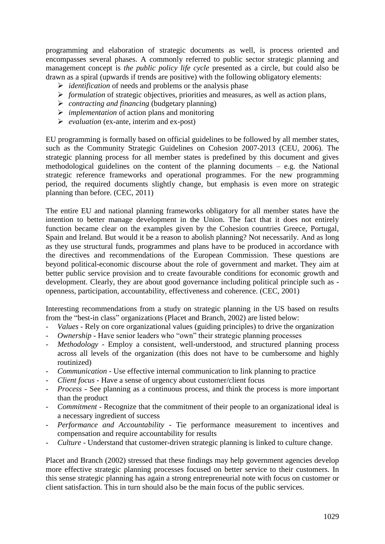programming and elaboration of strategic documents as well, is process oriented and encompasses several phases. A commonly referred to public sector strategic planning and management concept is *the public policy life cycle* presented as a circle, but could also be drawn as a spiral (upwards if trends are positive) with the following obligatory elements:

- identification of needs and problems or the analysis phase
- *formulation* of strategic objectives, priorities and measures, as well as action plans,
- *contracting and financing* (budgetary planning)
- *implementation* of action plans and monitoring
- *evaluation* (ex-ante, interim and ex-post)

EU programming is formally based on official guidelines to be followed by all member states, such as the Community Strategic Guidelines on Cohesion 2007-2013 (CEU, 2006). The strategic planning process for all member states is predefined by this document and gives methodological guidelines on the content of the planning documents – e.g. the National strategic reference frameworks and operational programmes. For the new programming period, the required documents slightly change, but emphasis is even more on strategic planning than before. (CEC, 2011)

The entire EU and national planning frameworks obligatory for all member states have the intention to better manage development in the Union. The fact that it does not entirely function became clear on the examples given by the Cohesion countries Greece, Portugal, Spain and Ireland. But would it be a reason to abolish planning? Not necessarily. And as long as they use structural funds, programmes and plans have to be produced in accordance with the directives and recommendations of the European Commission. These questions are beyond political-economic discourse about the role of government and market. They aim at better public service provision and to create favourable conditions for economic growth and development. Clearly, they are about good governance including political principle such as openness, participation, accountability, effectiveness and coherence. (CEC, 2001)

Interesting recommendations from a study on strategic planning in the US based on results from the "best-in class" organizations (Placet and Branch, 2002) are listed below:

- *Values* Rely on core organizational values (guiding principles) to drive the organization
- *Ownership* Have senior leaders who "own" their strategic planning processes
- *Methodology* Employ a consistent, well-understood, and structured planning process across all levels of the organization (this does not have to be cumbersome and highly routinized)
- *Communication* Use effective internal communication to link planning to practice
- *Client focus* Have a sense of urgency about customer/client focus
- *Process* See planning as a continuous process, and think the process is more important than the product
- *Commitment* Recognize that the commitment of their people to an organizational ideal is a necessary ingredient of success
- *Performance and Accountability* Tie performance measurement to incentives and compensation and require accountability for results
- *Culture*  Understand that customer-driven strategic planning is linked to culture change.

Placet and Branch (2002) stressed that these findings may help government agencies develop more effective strategic planning processes focused on better service to their customers. In this sense strategic planning has again a strong entrepreneurial note with focus on customer or client satisfaction. This in turn should also be the main focus of the public services.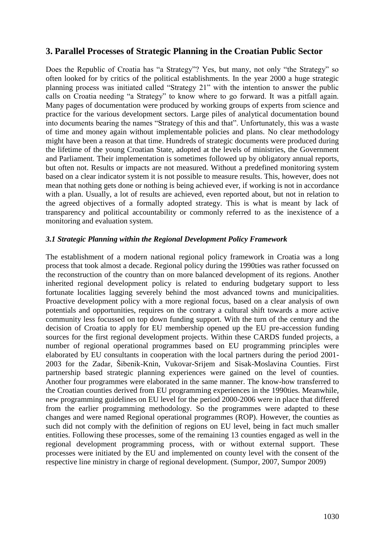### **3. Parallel Processes of Strategic Planning in the Croatian Public Sector**

Does the Republic of Croatia has "a Strategy"? Yes, but many, not only "the Strategy" so often looked for by critics of the political establishments. In the year 2000 a huge strategic planning process was initiated called "Strategy 21" with the intention to answer the public calls on Croatia needing "a Strategy" to know where to go forward. It was a pitfall again. Many pages of documentation were produced by working groups of experts from science and practice for the various development sectors. Large piles of analytical documentation bound into documents bearing the names "Strategy of this and that". Unfortunately, this was a waste of time and money again without implementable policies and plans. No clear methodology might have been a reason at that time. Hundreds of strategic documents were produced during the lifetime of the young Croatian State, adopted at the levels of ministries, the Government and Parliament. Their implementation is sometimes followed up by obligatory annual reports, but often not. Results or impacts are not measured. Without a predefined monitoring system based on a clear indicator system it is not possible to measure results. This, however, does not mean that nothing gets done or nothing is being achieved ever, if working is not in accordance with a plan. Usually, a lot of results are achieved, even reported about, but not in relation to the agreed objectives of a formally adopted strategy. This is what is meant by lack of transparency and political accountability or commonly referred to as the inexistence of a monitoring and evaluation system.

#### *3.1 Strategic Planning within the Regional Development Policy Framework*

The establishment of a modern national regional policy framework in Croatia was a long process that took almost a decade. Regional policy during the 1990ties was rather focussed on the reconstruction of the country than on more balanced development of its regions. Another inherited regional development policy is related to enduring budgetary support to less fortunate localities lagging severely behind the most advanced towns and municipalities. Proactive development policy with a more regional focus, based on a clear analysis of own potentials and opportunities, requires on the contrary a cultural shift towards a more active community less focussed on top down funding support. With the turn of the century and the decision of Croatia to apply for EU membership opened up the EU pre-accession funding sources for the first regional development projects. Within these CARDS funded projects, a number of regional operational programmes based on EU programming principles were elaborated by EU consultants in cooperation with the local partners during the period 2001- 2003 for the Zadar, Šibenik-Knin, Vukovar-Srijem and Sisak-Moslavina Counties. First partnership based strategic planning experiences were gained on the level of counties. Another four programmes were elaborated in the same manner. The know-how transferred to the Croatian counties derived from EU programming experiences in the 1990ties. Meanwhile, new programming guidelines on EU level for the period 2000-2006 were in place that differed from the earlier programming methodology. So the programmes were adapted to these changes and were named Regional operational programmes (ROP). However, the counties as such did not comply with the definition of regions on EU level, being in fact much smaller entities. Following these processes, some of the remaining 13 counties engaged as well in the regional development programming process, with or without external support. These processes were initiated by the EU and implemented on county level with the consent of the respective line ministry in charge of regional development. (Sumpor, 2007, Sumpor 2009)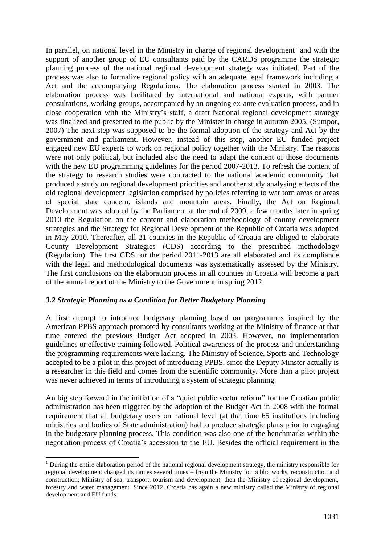In parallel, on national level in the Ministry in charge of regional development<sup>1</sup> and with the support of another group of EU consultants paid by the CARDS programme the strategic planning process of the national regional development strategy was initiated. Part of the process was also to formalize regional policy with an adequate legal framework including a Act and the accompanying Regulations. The elaboration process started in 2003. The elaboration process was facilitated by international and national experts, with partner consultations, working groups, accompanied by an ongoing ex-ante evaluation process, and in close cooperation with the Ministry's staff, a draft National regional development strategy was finalized and presented to the public by the Minister in charge in autumn 2005. (Sumpor, 2007) The next step was supposed to be the formal adoption of the strategy and Act by the government and parliament. However, instead of this step, another EU funded project engaged new EU experts to work on regional policy together with the Ministry. The reasons were not only political, but included also the need to adapt the content of those documents with the new EU programming guidelines for the period 2007-2013. To refresh the content of the strategy to research studies were contracted to the national academic community that produced a study on regional development priorities and another study analysing effects of the old regional development legislation comprised by policies referring to war torn areas or areas of special state concern, islands and mountain areas. Finally, the Act on Regional Development was adopted by the Parliament at the end of 2009, a few months later in spring 2010 the Regulation on the content and elaboration methodology of county development strategies and the Strategy for Regional Development of the Republic of Croatia was adopted in May 2010. Thereafter, all 21 counties in the Republic of Croatia are obliged to elaborate County Development Strategies (CDS) according to the prescribed methodology (Regulation). The first CDS for the period 2011-2013 are all elaborated and its compliance with the legal and methodological documents was systematically assessed by the Ministry. The first conclusions on the elaboration process in all counties in Croatia will become a part of the annual report of the Ministry to the Government in spring 2012.

#### *3.2 Strategic Planning as a Condition for Better Budgetary Planning*

<u>.</u>

A first attempt to introduce budgetary planning based on programmes inspired by the American PPBS approach promoted by consultants working at the Ministry of finance at that time entered the previous Budget Act adopted in 2003. However, no implementation guidelines or effective training followed. Political awareness of the process and understanding the programming requirements were lacking. The Ministry of Science, Sports and Technology accepted to be a pilot in this project of introducing PPBS, since the Deputy Minster actually is a researcher in this field and comes from the scientific community. More than a pilot project was never achieved in terms of introducing a system of strategic planning.

An big step forward in the initiation of a "quiet public sector reform" for the Croatian public administration has been triggered by the adoption of the Budget Act in 2008 with the formal requirement that all budgetary users on national level (at that time 65 institutions including ministries and bodies of State administration) had to produce strategic plans prior to engaging in the budgetary planning process. This condition was also one of the benchmarks within the negotiation process of Croatia's accession to the EU. Besides the official requirement in the

<sup>&</sup>lt;sup>1</sup> During the entire elaboration period of the national regional development strategy, the ministry responsible for regional development changed its names several times – from the Ministry for public works, reconstruction and construction; Ministry of sea, transport, tourism and development; then the Ministry of regional development, forestry and water management. Since 2012, Croatia has again a new ministry called the Ministry of regional development and EU funds.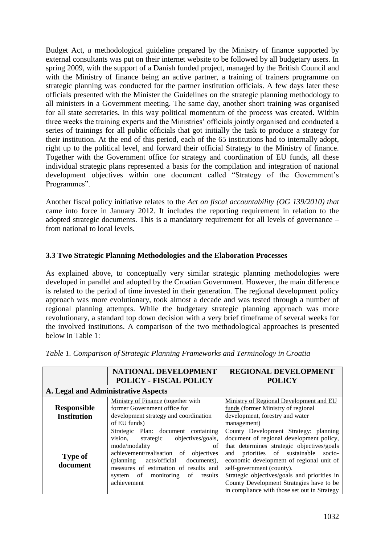Budget Act, *a* methodological guideline prepared by the Ministry of finance supported by external consultants was put on their internet website to be followed by all budgetary users. In spring 2009, with the support of a Danish funded project, managed by the British Council and with the Ministry of finance being an active partner, a training of trainers programme on strategic planning was conducted for the partner institution officials. A few days later these officials presented with the Minister the Guidelines on the strategic planning methodology to all ministers in a Government meeting. The same day, another short training was organised for all state secretaries. In this way political momentum of the process was created. Within three weeks the training experts and the Ministries' officials jointly organised and conducted a series of trainings for all public officials that got initially the task to produce a strategy for their institution. At the end of this period, each of the 65 institutions had to internally adopt, right up to the political level, and forward their official Strategy to the Ministry of finance. Together with the Government office for strategy and coordination of EU funds, all these individual strategic plans represented a basis for the compilation and integration of national development objectives within one document called "Strategy of the Government's Programmes".

Another fiscal policy initiative relates to the *Act on fiscal accountability (OG 139/2010) that*  came into force in January 2012. It includes the reporting requirement in relation to the adopted strategic documents. This is a mandatory requirement for all levels of governance – from national to local levels.

### **3.3 Two Strategic Planning Methodologies and the Elaboration Processes**

As explained above, to conceptually very similar strategic planning methodologies were developed in parallel and adopted by the Croatian Government. However, the main difference is related to the period of time invested in their generation. The regional development policy approach was more evolutionary, took almost a decade and was tested through a number of regional planning attempts. While the budgetary strategic planning approach was more revolutionary, a standard top down decision with a very brief timeframe of several weeks for the involved institutions. A comparison of the two methodological approaches is presented below in Table 1:

|                                          | NATIONAL DEVELOPMENT<br><b>POLICY - FISCAL POLICY</b>                                                                                                                                                                                                                                                    | <b>REGIONAL DEVELOPMENT</b><br><b>POLICY</b>                                                                                                                                                                                                                                                                                                                                                       |  |  |
|------------------------------------------|----------------------------------------------------------------------------------------------------------------------------------------------------------------------------------------------------------------------------------------------------------------------------------------------------------|----------------------------------------------------------------------------------------------------------------------------------------------------------------------------------------------------------------------------------------------------------------------------------------------------------------------------------------------------------------------------------------------------|--|--|
| A. Legal and Administrative Aspects      |                                                                                                                                                                                                                                                                                                          |                                                                                                                                                                                                                                                                                                                                                                                                    |  |  |
| <b>Responsible</b><br><b>Institution</b> | Ministry of Finance (together with<br>former Government office for<br>development strategy and coordination<br>of EU funds)                                                                                                                                                                              | Ministry of Regional Development and EU<br>funds (former Ministry of regional<br>development, forestry and water<br>management)                                                                                                                                                                                                                                                                    |  |  |
| <b>Type of</b><br>document               | Strategic Plan: document containing<br>vision,<br>objectives/goals,<br>strategic<br>mode/modality<br>of<br>achievement/realisation<br>objectives<br>of<br>documents),<br>acts/official<br>(planning)<br>measures of estimation of results and<br>system of<br>monitoring<br>of<br>results<br>achievement | County Development Strategy: planning<br>document of regional development policy,<br>that determines strategic objectives/goals<br>priorities of sustainable<br>socio-<br>and<br>economic development of regional unit of<br>self-government (county).<br>Strategic objectives/goals and priorities in<br>County Development Strategies have to be<br>in compliance with those set out in Strategy |  |  |

*Table 1. Comparison of Strategic Planning Frameworks and Terminology in Croatia*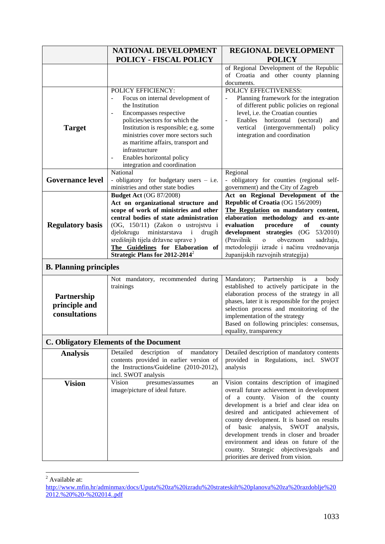|                               | NATIONAL DEVELOPMENT                                                                  | <b>REGIONAL DEVELOPMENT</b>                                                       |
|-------------------------------|---------------------------------------------------------------------------------------|-----------------------------------------------------------------------------------|
|                               | <b>POLICY - FISCAL POLICY</b>                                                         | <b>POLICY</b>                                                                     |
|                               |                                                                                       | of Regional Development of the Republic                                           |
|                               |                                                                                       | of Croatia and other county planning                                              |
|                               |                                                                                       | documents.                                                                        |
|                               | POLICY EFFICIENCY:                                                                    | POLICY EFFECTIVENESS:                                                             |
|                               | Focus on internal development of                                                      | Planning framework for the integration                                            |
|                               | the Institution                                                                       | of different public policies on regional                                          |
|                               | Encompasses respective                                                                | level, i.e. the Croatian counties                                                 |
|                               | policies/sectors for which the                                                        | Enables horizontal (sectoral)<br>and                                              |
| <b>Target</b>                 | Institution is responsible; e.g. some                                                 | (intergovernmental)<br>policy<br>vertical                                         |
|                               | ministries cover more sectors such                                                    | integration and coordination                                                      |
|                               | as maritime affairs, transport and<br>infrastructure                                  |                                                                                   |
|                               | Enables horizontal policy                                                             |                                                                                   |
|                               | integration and coordination                                                          |                                                                                   |
|                               | National                                                                              | Regional                                                                          |
| <b>Governance level</b>       | - obligatory for budgetary users - i.e.                                               | - obligatory for counties (regional self-                                         |
|                               | ministries and other state bodies                                                     | government) and the City of Zagreb                                                |
|                               | <b>Budget Act (OG 87/2008)</b>                                                        | Act on Regional Development of the                                                |
|                               | Act on organizational structure and                                                   | Republic of Croatia (OG 156/2009)                                                 |
|                               | scope of work of ministries and other                                                 | The Regulation on mandatory content,                                              |
|                               | central bodies of state administration                                                | elaboration methodology and ex-ante                                               |
| <b>Regulatory basis</b>       | (OG, 150/11) (Zakon o ustrojstvu i                                                    | evaluation<br>procedure<br>of<br>county                                           |
|                               | djelokrugu<br>ministarstava<br>$\mathbf{i}$<br>drugih                                 | development strategies (OG<br>53/2010)                                            |
|                               | središnjih tijela državne uprave)                                                     | (Pravilnik<br>obveznom<br>sadržaju,<br>$\Omega$                                   |
|                               | The Guidelines for Elaboration of<br>Strategic Plans for $2012 - 2014^2$              | metodologiji izrade i načinu vrednovanja<br>županijskih razvojnih strategija)     |
|                               |                                                                                       |                                                                                   |
| <b>B. Planning principles</b> |                                                                                       |                                                                                   |
|                               | Not mandatory, recommended during                                                     | Mandatory;<br>Partnership<br>is<br>body<br>a                                      |
|                               | trainings                                                                             | established to actively participate in the                                        |
| Partnership                   |                                                                                       | elaboration process of the strategy in all                                        |
| principle and                 |                                                                                       | phases, later it is responsible for the project                                   |
| consultations                 |                                                                                       | selection process and monitoring of the                                           |
|                               |                                                                                       | implementation of the strategy<br>Based on following principles: consensus,       |
|                               |                                                                                       | equality, transparency                                                            |
|                               | <b>C. Obligatory Elements of the Document</b>                                         |                                                                                   |
|                               |                                                                                       |                                                                                   |
| <b>Analysis</b>               | Detailed<br>description<br>of<br>mandatory<br>contents provided in earlier version of | Detailed description of mandatory contents<br>provided in Regulations, incl. SWOT |
|                               | the Instructions/Guideline (2010-2012),                                               | analysis                                                                          |
|                               | incl. SWOT analysis                                                                   |                                                                                   |
| <b>Vision</b>                 | Vision<br>presumes/assumes<br>an                                                      | Vision contains description of imagined                                           |
|                               | image/picture of ideal future.                                                        | overall future achievement in development                                         |
|                               |                                                                                       | a county. Vision of the county<br>of                                              |
|                               |                                                                                       | development is a brief and clear idea on                                          |
|                               |                                                                                       | desired and anticipated achievement of                                            |
|                               |                                                                                       | county development. It is based on results                                        |
|                               |                                                                                       | of<br>basic<br><b>SWOT</b><br>analysis,<br>analysis,                              |
|                               |                                                                                       | development trends in closer and broader                                          |
|                               |                                                                                       | environment and ideas on future of the                                            |
|                               |                                                                                       | county. Strategic objectives/goals<br>and<br>priorities are derived from vision.  |
|                               |                                                                                       |                                                                                   |

1  $<sup>2</sup>$  Available at:</sup>

[http://www.mfin.hr/adminmax/docs/Uputa%20za%20izradu%20strateskih%20planova%20za%20razdoblje%20](http://www.mfin.hr/adminmax/docs/Uputa%20za%20izradu%20strateskih%20planova%20za%20razdoblje%202012.%20%20-%202014..pdf) [2012.%20%20-%202014..pdf](http://www.mfin.hr/adminmax/docs/Uputa%20za%20izradu%20strateskih%20planova%20za%20razdoblje%202012.%20%20-%202014..pdf)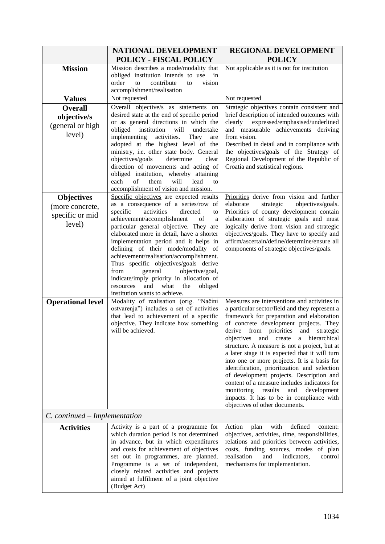|                                    | <b>NATIONAL DEVELOPMENT</b>                                                           | <b>REGIONAL DEVELOPMENT</b>                                                                     |
|------------------------------------|---------------------------------------------------------------------------------------|-------------------------------------------------------------------------------------------------|
|                                    | <b>POLICY - FISCAL POLICY</b>                                                         | <b>POLICY</b>                                                                                   |
| <b>Mission</b>                     | Mission describes a mode/modality that                                                | Not applicable as it is not for institution                                                     |
|                                    | obliged institution intends to use<br>in<br>contribute<br>order<br>to<br>vision<br>to |                                                                                                 |
|                                    | accomplishment/realisation                                                            |                                                                                                 |
| <b>Values</b>                      | Not requested                                                                         | Not requested                                                                                   |
| <b>Overall</b>                     | Overall objective/s as statements on                                                  | Strategic objectives contain consistent and                                                     |
| objective/s                        | desired state at the end of specific period                                           | brief description of intended outcomes with                                                     |
| (general or high                   | or as general directions in which the<br>obliged<br>institution<br>will<br>undertake  | expressed/emphasised/underlined<br>clearly<br>and measurable achievements deriving              |
| level)                             | implementing<br>activities.<br>They<br>are                                            | from vision.                                                                                    |
|                                    | adopted at the highest level of the                                                   | Described in detail and in compliance with                                                      |
|                                    | ministry, i.e. other state body. General                                              | the objectives/goals of the Strategy of                                                         |
|                                    | objectives/goals<br>determine<br>clear<br>direction of movements and acting of        | Regional Development of the Republic of<br>Croatia and statistical regions.                     |
|                                    | obliged institution, whereby attaining                                                |                                                                                                 |
|                                    | of<br>them<br>will<br>lead<br>each<br>to                                              |                                                                                                 |
|                                    | accomplishment of vision and mission.                                                 |                                                                                                 |
| <b>Objectives</b>                  | Specific objectives are expected results<br>as a consequence of a series/row of       | Priorities derive from vision and further<br>elaborate<br>strategic<br>objectives/goals.        |
| (more concrete,<br>specific or mid | activities<br>specific<br>directed<br>to                                              | Priorities of county development contain                                                        |
| level)                             | achievement/accomplishment<br>of<br>a                                                 | elaboration of strategic goals and must                                                         |
|                                    | particular general objective. They are<br>elaborated more in detail, have a shorter   | logically derive from vision and strategic<br>objectives/goals. They have to specify and        |
|                                    | implementation period and it helps in                                                 | affirm/ascertain/define/determine/ensure all                                                    |
|                                    | defining of their mode/modality of                                                    | components of strategic objectives/goals.                                                       |
|                                    | achievement/realisation/accomplishment.                                               |                                                                                                 |
|                                    | Thus specific objectives/goals derive<br>objective/goal,<br>general<br>from           |                                                                                                 |
|                                    | indicate/imply priority in allocation of                                              |                                                                                                 |
|                                    | and<br>what<br>obliged<br>resources<br>the                                            |                                                                                                 |
|                                    | institution wants to achieve.                                                         | Measures are interventions and activities in                                                    |
| <b>Operational level</b>           | Modality of realisation (orig. "Načini<br>ostvarenja") includes a set of activities   | a particular sector/field and they represent a                                                  |
|                                    | that lead to achievement of a specific                                                | framework for preparation and elaboration                                                       |
|                                    | objective. They indicate how something                                                | of concrete development projects. They                                                          |
|                                    | will be achieved.                                                                     | derive from<br>priorities<br>and<br>strategic<br>objectives and create<br>a hierarchical        |
|                                    |                                                                                       | structure. A measure is not a project, but at                                                   |
|                                    |                                                                                       | a later stage it is expected that it will turn                                                  |
|                                    |                                                                                       | into one or more projects. It is a basis for                                                    |
|                                    |                                                                                       | identification, prioritization and selection<br>of development projects. Description and        |
|                                    |                                                                                       | content of a measure includes indicators for                                                    |
|                                    |                                                                                       | monitoring<br>results<br>development<br>and                                                     |
|                                    |                                                                                       | impacts. It has to be in compliance with                                                        |
|                                    |                                                                                       | objectives of other documents.                                                                  |
| C. continued - Implementation      |                                                                                       |                                                                                                 |
| <b>Activities</b>                  | Activity is a part of a programme for                                                 | defined<br>with<br>Action<br>plan<br>content:                                                   |
|                                    | which duration period is not determined<br>in advance, but in which expenditures      | objectives, activities, time, responsibilities,<br>relations and priorities between activities, |
|                                    | and costs for achievement of objectives                                               | costs, funding sources, modes of plan                                                           |
|                                    | set out in programmes, are planned.                                                   | realisation<br>indicators,<br>and<br>control                                                    |
|                                    | Programme is a set of independent,<br>closely related activities and projects         | mechanisms for implementation.                                                                  |
|                                    | aimed at fulfilment of a joint objective                                              |                                                                                                 |
|                                    | (Budget Act)                                                                          |                                                                                                 |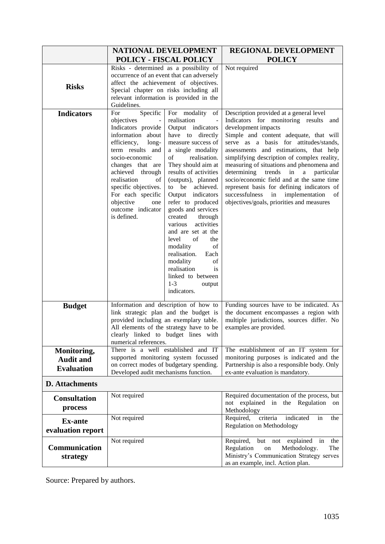|                                                      | NATIONAL DEVELOPMENT                                                                                                                                                                                                                                                                                                                                                                                                                                                                                                                                                                                                                                                                                                                                                                                                                                                              | <b>REGIONAL DEVELOPMENT</b>                                                                                                                                                                                                                                                                                                                                                                                                                                                                                                                                        |
|------------------------------------------------------|-----------------------------------------------------------------------------------------------------------------------------------------------------------------------------------------------------------------------------------------------------------------------------------------------------------------------------------------------------------------------------------------------------------------------------------------------------------------------------------------------------------------------------------------------------------------------------------------------------------------------------------------------------------------------------------------------------------------------------------------------------------------------------------------------------------------------------------------------------------------------------------|--------------------------------------------------------------------------------------------------------------------------------------------------------------------------------------------------------------------------------------------------------------------------------------------------------------------------------------------------------------------------------------------------------------------------------------------------------------------------------------------------------------------------------------------------------------------|
|                                                      | <b>POLICY - FISCAL POLICY</b>                                                                                                                                                                                                                                                                                                                                                                                                                                                                                                                                                                                                                                                                                                                                                                                                                                                     | <b>POLICY</b>                                                                                                                                                                                                                                                                                                                                                                                                                                                                                                                                                      |
| <b>Risks</b>                                         | Risks - determined as a possibility of<br>occurrence of an event that can adversely<br>affect the achievement of objectives.<br>Special chapter on risks including all<br>relevant information is provided in the<br>Guidelines.                                                                                                                                                                                                                                                                                                                                                                                                                                                                                                                                                                                                                                                  | Not required                                                                                                                                                                                                                                                                                                                                                                                                                                                                                                                                                       |
| <b>Indicators</b>                                    | Specific<br>For<br>For modality<br>of<br>objectives<br>realisation<br>$\overline{\phantom{a}}$<br>Indicators provide<br>Output indicators<br>information about<br>have to directly<br>efficiency,<br>long-<br>measure success of<br>term results and<br>a single modality<br>socio-economic<br>of<br>realisation.<br>They should aim at<br>changes that are<br>achieved through<br>results of activities<br>realisation<br>of<br>(outputs), planned<br>specific objectives.<br>to be<br>achieved.<br>For each specific<br>Output indicators<br>refer to produced<br>objective<br>one<br>outcome indicator<br>goods and services<br>is defined.<br>through<br>created<br>activities<br>various<br>and are set at the<br>level<br>of<br>the<br>modality<br>of<br>realisation.<br>Each<br>modality<br>of<br>realisation<br>is<br>linked to between<br>$1-3$<br>output<br>indicators. | Description provided at a general level<br>Indicators for monitoring results and<br>development impacts<br>Simple and content adequate, that will<br>serve as a basis for attitudes/stands,<br>assessments and estimations, that help<br>simplifying description of complex reality,<br>measuring of situations and phenomena and<br>determining trends in a<br>particular<br>socio/economic field and at the same time<br>represent basis for defining indicators of<br>successfulness<br>in<br>implementation<br>οf<br>objectives/goals, priorities and measures |
| <b>Budget</b>                                        | Information and description of how to<br>link strategic plan and the budget is<br>provided including an exemplary table.<br>All elements of the strategy have to be<br>clearly linked to budget lines with<br>numerical references.                                                                                                                                                                                                                                                                                                                                                                                                                                                                                                                                                                                                                                               | Funding sources have to be indicated. As<br>the document encompasses a region with<br>multiple jurisdictions, sources differ. No<br>examples are provided.                                                                                                                                                                                                                                                                                                                                                                                                         |
| Monitoring,<br><b>Audit and</b><br><b>Evaluation</b> | There is a well established and IT<br>supported monitoring system focussed<br>on correct modes of budgetary spending.<br>Developed audit mechanisms function.                                                                                                                                                                                                                                                                                                                                                                                                                                                                                                                                                                                                                                                                                                                     | The establishment of an IT system for<br>monitoring purposes is indicated and the<br>Partnership is also a responsible body. Only<br>ex-ante evaluation is mandatory.                                                                                                                                                                                                                                                                                                                                                                                              |
| <b>D.</b> Attachments                                |                                                                                                                                                                                                                                                                                                                                                                                                                                                                                                                                                                                                                                                                                                                                                                                                                                                                                   |                                                                                                                                                                                                                                                                                                                                                                                                                                                                                                                                                                    |
| <b>Consultation</b><br>process                       | Not required                                                                                                                                                                                                                                                                                                                                                                                                                                                                                                                                                                                                                                                                                                                                                                                                                                                                      | Required documentation of the process, but<br>not explained in the Regulation on<br>Methodology                                                                                                                                                                                                                                                                                                                                                                                                                                                                    |
| <b>Ex-ante</b><br>evaluation report                  | Not required                                                                                                                                                                                                                                                                                                                                                                                                                                                                                                                                                                                                                                                                                                                                                                                                                                                                      | criteria<br>Required,<br>indicated<br>the<br>in<br><b>Regulation on Methodology</b>                                                                                                                                                                                                                                                                                                                                                                                                                                                                                |
| Communication<br>strategy                            | Not required                                                                                                                                                                                                                                                                                                                                                                                                                                                                                                                                                                                                                                                                                                                                                                                                                                                                      | Required,<br>but not<br>explained<br>in<br>the<br>Regulation<br>Methodology.<br>The<br>on<br>Ministry's Communication Strategy serves<br>as an example, incl. Action plan.                                                                                                                                                                                                                                                                                                                                                                                         |

Source: Prepared by authors.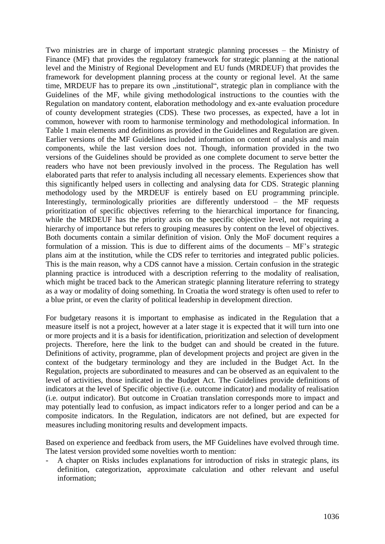Two ministries are in charge of important strategic planning processes – the Ministry of Finance (MF) that provides the regulatory framework for strategic planning at the national level and the Ministry of Regional Development and EU funds (MRDEUF) that provides the framework for development planning process at the county or regional level. At the same time, MRDEUF has to prepare its own "institutional", strategic plan in compliance with the Guidelines of the MF, while giving methodological instructions to the counties with the Regulation on mandatory content, elaboration methodology and ex-ante evaluation procedure of county development strategies (CDS). These two processes, as expected, have a lot in common, however with room to harmonise terminology and methodological information. In Table 1 main elements and definitions as provided in the Guidelines and Regulation are given. Earlier versions of the MF Guidelines included information on content of analysis and main components, while the last version does not. Though, information provided in the two versions of the Guidelines should be provided as one complete document to serve better the readers who have not been previously involved in the process. The Regulation has well elaborated parts that refer to analysis including all necessary elements. Experiences show that this significantly helped users in collecting and analysing data for CDS. Strategic planning methodology used by the MRDEUF is entirely based on EU programming principle. Interestingly, terminologically priorities are differently understood – the MF requests prioritization of specific objectives referring to the hierarchical importance for financing, while the MRDEUF has the priority axis on the specific objective level, not requiring a hierarchy of importance but refers to grouping measures by content on the level of objectives. Both documents contain a similar definition of vision. Only the MoF document requires a formulation of a mission. This is due to different aims of the documents – MF's strategic plans aim at the institution, while the CDS refer to territories and integrated public policies. This is the main reason, why a CDS cannot have a mission. Certain confusion in the strategic planning practice is introduced with a description referring to the modality of realisation, which might be traced back to the American strategic planning literature referring to strategy as a way or modality of doing something. In Croatia the word strategy is often used to refer to a blue print, or even the clarity of political leadership in development direction.

For budgetary reasons it is important to emphasise as indicated in the Regulation that a measure itself is not a project, however at a later stage it is expected that it will turn into one or more projects and it is a basis for identification, prioritization and selection of development projects. Therefore, here the link to the budget can and should be created in the future. Definitions of activity, programme, plan of development projects and project are given in the context of the budgetary terminology and they are included in the Budget Act. In the Regulation, projects are subordinated to measures and can be observed as an equivalent to the level of activities, those indicated in the Budget Act. The Guidelines provide definitions of indicators at the level of Specific objective (i.e. outcome indicator) and modality of realisation (i.e. output indicator). But outcome in Croatian translation corresponds more to impact and may potentially lead to confusion, as impact indicators refer to a longer period and can be a composite indicators. In the Regulation, indicators are not defined, but are expected for measures including monitoring results and development impacts.

Based on experience and feedback from users, the MF Guidelines have evolved through time. The latest version provided some novelties worth to mention:

- A chapter on Risks includes explanations for introduction of risks in strategic plans, its definition, categorization, approximate calculation and other relevant and useful information;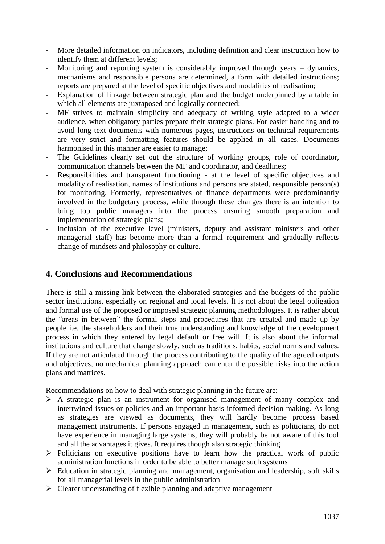- More detailed information on indicators, including definition and clear instruction how to identify them at different levels;
- Monitoring and reporting system is considerably improved through years dynamics, mechanisms and responsible persons are determined, a form with detailed instructions; reports are prepared at the level of specific objectives and modalities of realisation;
- Explanation of linkage between strategic plan and the budget underpinned by a table in which all elements are juxtaposed and logically connected;
- MF strives to maintain simplicity and adequacy of writing style adapted to a wider audience, when obligatory parties prepare their strategic plans. For easier handling and to avoid long text documents with numerous pages, instructions on technical requirements are very strict and formatting features should be applied in all cases. Documents harmonised in this manner are easier to manage;
- The Guidelines clearly set out the structure of working groups, role of coordinator, communication channels between the MF and coordinator, and deadlines;
- Responsibilities and transparent functioning at the level of specific objectives and modality of realisation, names of institutions and persons are stated, responsible person(s) for monitoring. Formerly, representatives of finance departments were predominantly involved in the budgetary process, while through these changes there is an intention to bring top public managers into the process ensuring smooth preparation and implementation of strategic plans;
- Inclusion of the executive level (ministers, deputy and assistant ministers and other managerial staff) has become more than a formal requirement and gradually reflects change of mindsets and philosophy or culture.

### **4. Conclusions and Recommendations**

There is still a missing link between the elaborated strategies and the budgets of the public sector institutions, especially on regional and local levels. It is not about the legal obligation and formal use of the proposed or imposed strategic planning methodologies. It is rather about the "areas in between" the formal steps and procedures that are created and made up by people i.e. the stakeholders and their true understanding and knowledge of the development process in which they entered by legal default or free will. It is also about the informal institutions and culture that change slowly, such as traditions, habits, social norms and values. If they are not articulated through the process contributing to the quality of the agreed outputs and objectives, no mechanical planning approach can enter the possible risks into the action plans and matrices.

Recommendations on how to deal with strategic planning in the future are:

- $\triangleright$  A strategic plan is an instrument for organised management of many complex and intertwined issues or policies and an important basis informed decision making. As long as strategies are viewed as documents, they will hardly become process based management instruments. If persons engaged in management, such as politicians, do not have experience in managing large systems, they will probably be not aware of this tool and all the advantages it gives. It requires though also strategic thinking
- $\triangleright$  Politicians on executive positions have to learn how the practical work of public administration functions in order to be able to better manage such systems
- $\triangleright$  Education in strategic planning and management, organisation and leadership, soft skills for all managerial levels in the public administration
- $\triangleright$  Clearer understanding of flexible planning and adaptive management